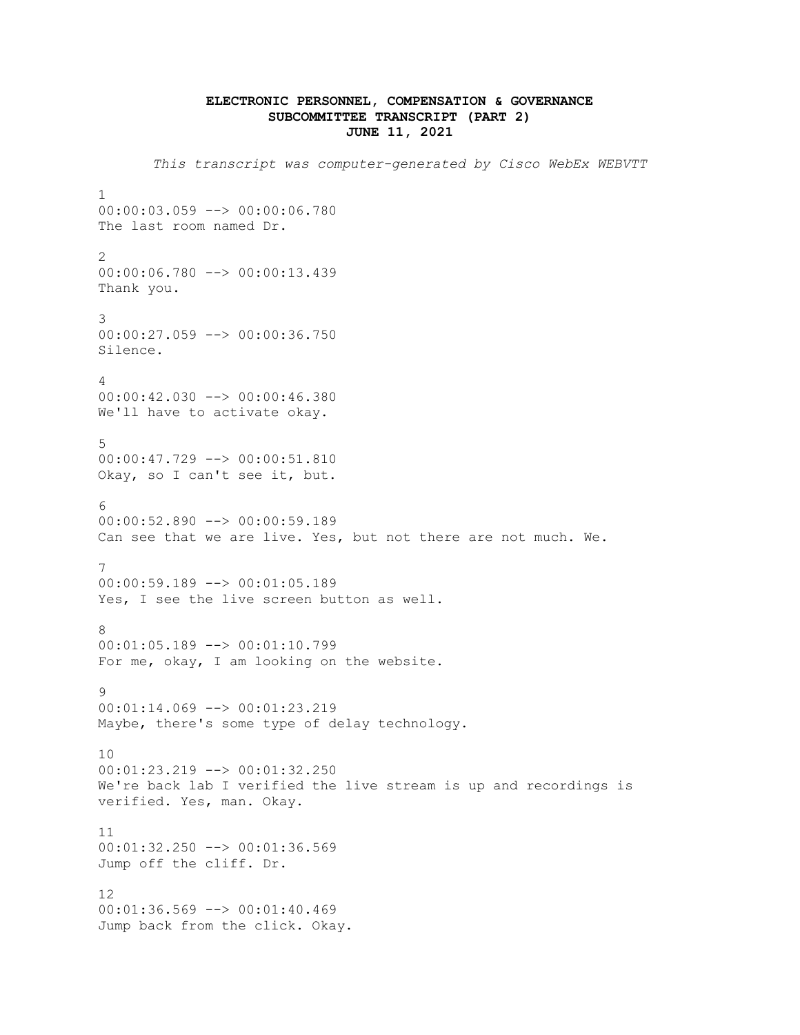## **ELECTRONIC PERSONNEL, COMPENSATION & GOVERNANCE SUBCOMMITTEE TRANSCRIPT (PART 2) JUNE 11, 2021**

*This transcript was computer-generated by Cisco WebEx WEBVTT* 1 00:00:03.059 --> 00:00:06.780 The last room named Dr. 2 00:00:06.780 --> 00:00:13.439 Thank you. 3 00:00:27.059 --> 00:00:36.750 Silence. 4 00:00:42.030 --> 00:00:46.380 We'll have to activate okay. 5 00:00:47.729 --> 00:00:51.810 Okay, so I can't see it, but. 6 00:00:52.890 --> 00:00:59.189 Can see that we are live. Yes, but not there are not much. We. 7 00:00:59.189 --> 00:01:05.189 Yes, I see the live screen button as well. 8 00:01:05.189 --> 00:01:10.799 For me, okay, I am looking on the website. 9 00:01:14.069 --> 00:01:23.219 Maybe, there's some type of delay technology. 10 00:01:23.219 --> 00:01:32.250 We're back lab I verified the live stream is up and recordings is verified. Yes, man. Okay. 11 00:01:32.250 --> 00:01:36.569 Jump off the cliff. Dr. 12 00:01:36.569 --> 00:01:40.469 Jump back from the click. Okay.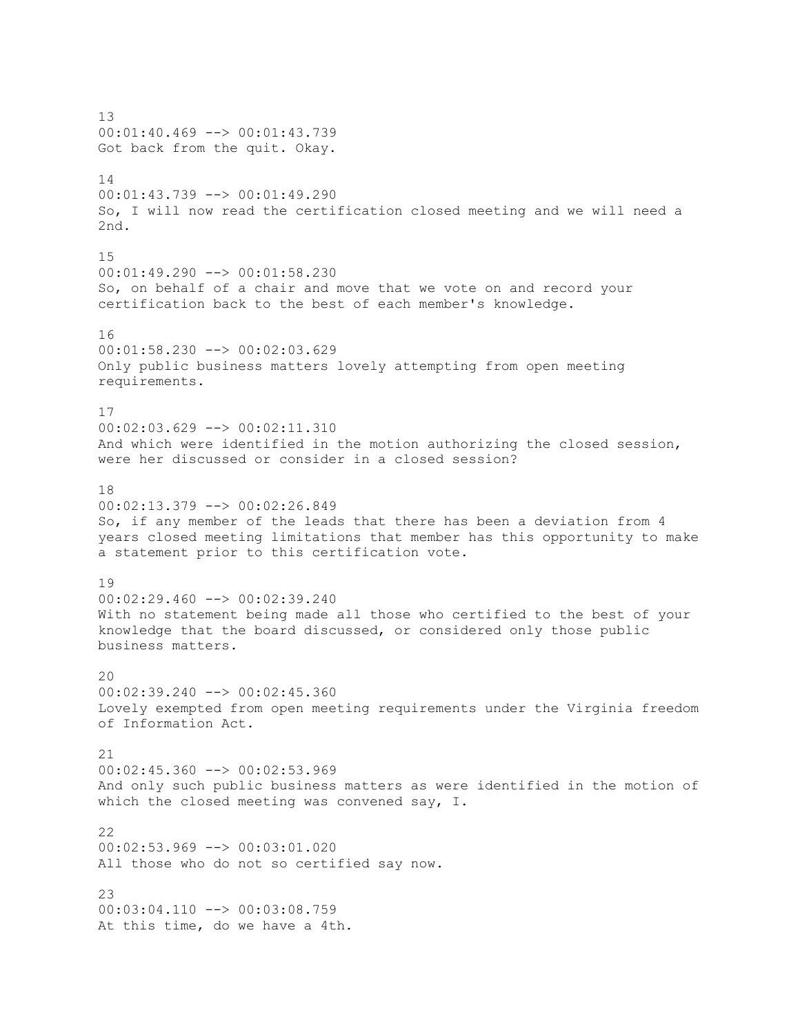13 00:01:40.469 --> 00:01:43.739 Got back from the quit. Okay. 14 00:01:43.739 --> 00:01:49.290 So, I will now read the certification closed meeting and we will need a 2nd. 15 00:01:49.290 --> 00:01:58.230 So, on behalf of a chair and move that we vote on and record your certification back to the best of each member's knowledge. 16 00:01:58.230 --> 00:02:03.629 Only public business matters lovely attempting from open meeting requirements. 17 00:02:03.629 --> 00:02:11.310 And which were identified in the motion authorizing the closed session, were her discussed or consider in a closed session? 18  $00:02:13.379$  -->  $00:02:26.849$ So, if any member of the leads that there has been a deviation from 4 years closed meeting limitations that member has this opportunity to make a statement prior to this certification vote. 19 00:02:29.460 --> 00:02:39.240 With no statement being made all those who certified to the best of your knowledge that the board discussed, or considered only those public business matters. 20 00:02:39.240 --> 00:02:45.360 Lovely exempted from open meeting requirements under the Virginia freedom of Information Act. 21 00:02:45.360 --> 00:02:53.969 And only such public business matters as were identified in the motion of which the closed meeting was convened say, I. 22 00:02:53.969 --> 00:03:01.020 All those who do not so certified say now. 23 00:03:04.110 --> 00:03:08.759 At this time, do we have a 4th.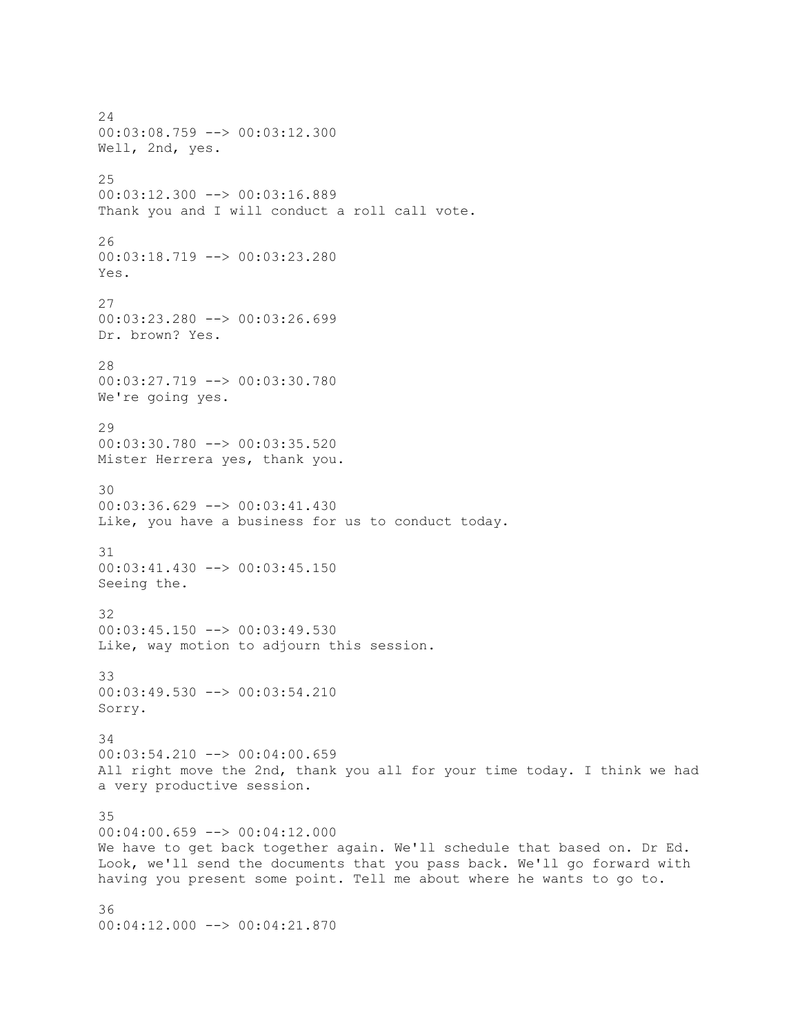24 00:03:08.759 --> 00:03:12.300 Well, 2nd, yes. 25 00:03:12.300 --> 00:03:16.889 Thank you and I will conduct a roll call vote. 26 00:03:18.719 --> 00:03:23.280 Yes. 27 00:03:23.280 --> 00:03:26.699 Dr. brown? Yes. 28 00:03:27.719 --> 00:03:30.780 We're going yes. 29 00:03:30.780 --> 00:03:35.520 Mister Herrera yes, thank you. 30 00:03:36.629 --> 00:03:41.430 Like, you have a business for us to conduct today. 31 00:03:41.430 --> 00:03:45.150 Seeing the. 32 00:03:45.150 --> 00:03:49.530 Like, way motion to adjourn this session. 33 00:03:49.530 --> 00:03:54.210 Sorry. 34 00:03:54.210 --> 00:04:00.659 All right move the 2nd, thank you all for your time today. I think we had a very productive session. 35 00:04:00.659 --> 00:04:12.000 We have to get back together again. We'll schedule that based on. Dr Ed. Look, we'll send the documents that you pass back. We'll go forward with having you present some point. Tell me about where he wants to go to. 36

00:04:12.000 --> 00:04:21.870